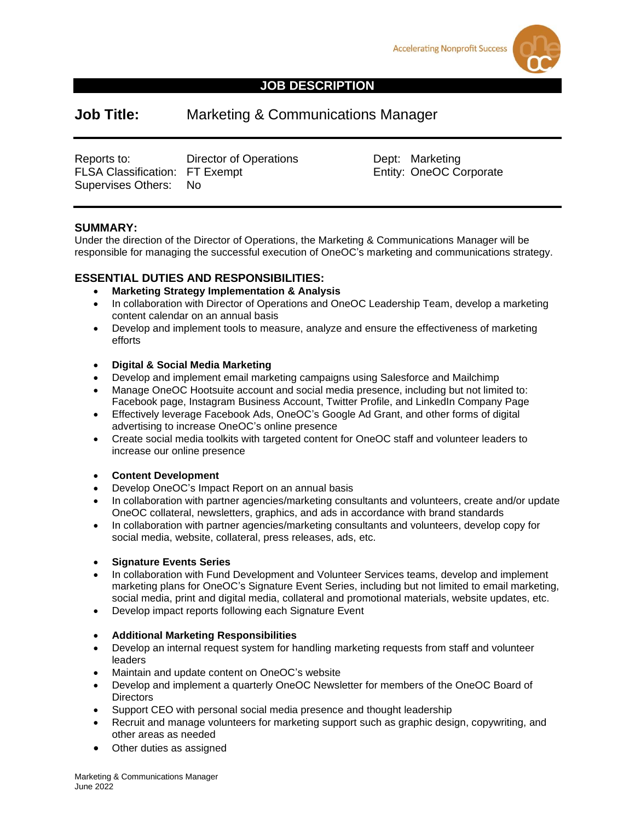



# **JOB DESCRIPTION**

# **Job Title:** Marketing & Communications Manager

Reports to: Califator of Operations<br>
FLSA Classification: FT Exempt Clear Constanting Entity: OneOC Corporate FLSA Classification: FT Exempt Supervises Others: No

#### **SUMMARY:**

Under the direction of the Director of Operations, the Marketing & Communications Manager will be responsible for managing the successful execution of OneOC's marketing and communications strategy.

#### **ESSENTIAL DUTIES AND RESPONSIBILITIES:**

- **Marketing Strategy Implementation & Analysis**
- In collaboration with Director of Operations and OneOC Leadership Team, develop a marketing content calendar on an annual basis
- Develop and implement tools to measure, analyze and ensure the effectiveness of marketing efforts

#### • **Digital & Social Media Marketing**

- Develop and implement email marketing campaigns using Salesforce and Mailchimp
- Manage OneOC Hootsuite account and social media presence, including but not limited to: Facebook page, Instagram Business Account, Twitter Profile, and LinkedIn Company Page
- Effectively leverage Facebook Ads, OneOC's Google Ad Grant, and other forms of digital advertising to increase OneOC's online presence
- Create social media toolkits with targeted content for OneOC staff and volunteer leaders to increase our online presence

#### • **Content Development**

- Develop OneOC's Impact Report on an annual basis
- In collaboration with partner agencies/marketing consultants and volunteers, create and/or update OneOC collateral, newsletters, graphics, and ads in accordance with brand standards
- In collaboration with partner agencies/marketing consultants and volunteers, develop copy for social media, website, collateral, press releases, ads, etc.

#### • **Signature Events Series**

- In collaboration with Fund Development and Volunteer Services teams, develop and implement marketing plans for OneOC's Signature Event Series, including but not limited to email marketing, social media, print and digital media, collateral and promotional materials, website updates, etc.
- Develop impact reports following each Signature Event

#### • **Additional Marketing Responsibilities**

- Develop an internal request system for handling marketing requests from staff and volunteer leaders
- Maintain and update content on OneOC's website
- Develop and implement a quarterly OneOC Newsletter for members of the OneOC Board of **Directors**
- Support CEO with personal social media presence and thought leadership
- Recruit and manage volunteers for marketing support such as graphic design, copywriting, and other areas as needed
- Other duties as assigned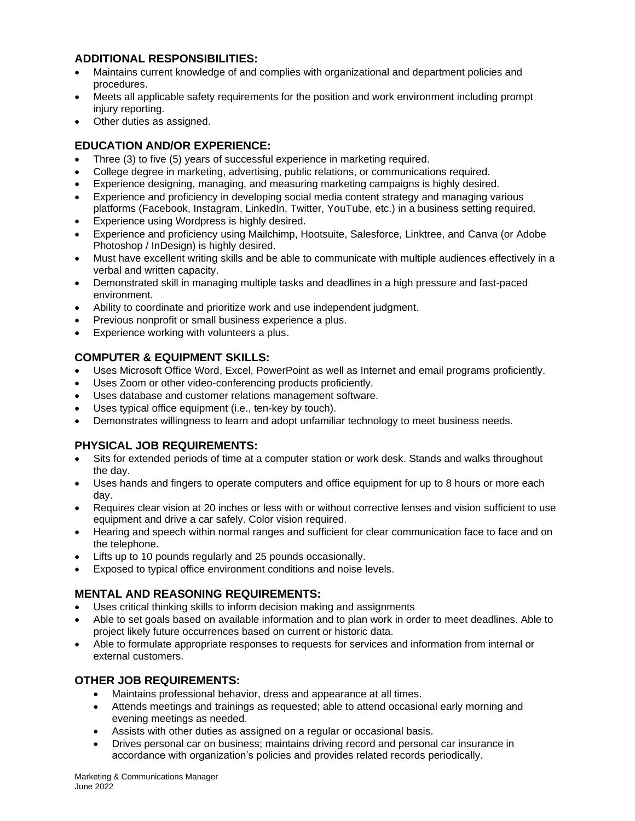## **ADDITIONAL RESPONSIBILITIES:**

- Maintains current knowledge of and complies with organizational and department policies and procedures.
- Meets all applicable safety requirements for the position and work environment including prompt injury reporting.
- Other duties as assigned.

## **EDUCATION AND/OR EXPERIENCE:**

- Three (3) to five (5) years of successful experience in marketing required.
- College degree in marketing, advertising, public relations, or communications required.
- Experience designing, managing, and measuring marketing campaigns is highly desired.
- Experience and proficiency in developing social media content strategy and managing various platforms (Facebook, Instagram, LinkedIn, Twitter, YouTube, etc.) in a business setting required.
- Experience using Wordpress is highly desired.
- Experience and proficiency using Mailchimp, Hootsuite, Salesforce, Linktree, and Canva (or Adobe Photoshop / InDesign) is highly desired.
- Must have excellent writing skills and be able to communicate with multiple audiences effectively in a verbal and written capacity.
- Demonstrated skill in managing multiple tasks and deadlines in a high pressure and fast-paced environment.
- Ability to coordinate and prioritize work and use independent judgment.
- Previous nonprofit or small business experience a plus.
- Experience working with volunteers a plus.

#### **COMPUTER & EQUIPMENT SKILLS:**

- Uses Microsoft Office Word, Excel, PowerPoint as well as Internet and email programs proficiently.
- Uses Zoom or other video-conferencing products proficiently.
- Uses database and customer relations management software.
- Uses typical office equipment (i.e., ten-key by touch).
- Demonstrates willingness to learn and adopt unfamiliar technology to meet business needs.

#### **PHYSICAL JOB REQUIREMENTS:**

- Sits for extended periods of time at a computer station or work desk. Stands and walks throughout the day.
- Uses hands and fingers to operate computers and office equipment for up to 8 hours or more each day.
- Requires clear vision at 20 inches or less with or without corrective lenses and vision sufficient to use equipment and drive a car safely. Color vision required.
- Hearing and speech within normal ranges and sufficient for clear communication face to face and on the telephone.
- Lifts up to 10 pounds regularly and 25 pounds occasionally.
- Exposed to typical office environment conditions and noise levels.

# **MENTAL AND REASONING REQUIREMENTS:**

- Uses critical thinking skills to inform decision making and assignments
- Able to set goals based on available information and to plan work in order to meet deadlines. Able to project likely future occurrences based on current or historic data.
- Able to formulate appropriate responses to requests for services and information from internal or external customers.

# **OTHER JOB REQUIREMENTS:**

- Maintains professional behavior, dress and appearance at all times.
- Attends meetings and trainings as requested; able to attend occasional early morning and evening meetings as needed.
- Assists with other duties as assigned on a regular or occasional basis.
- Drives personal car on business; maintains driving record and personal car insurance in accordance with organization's policies and provides related records periodically.